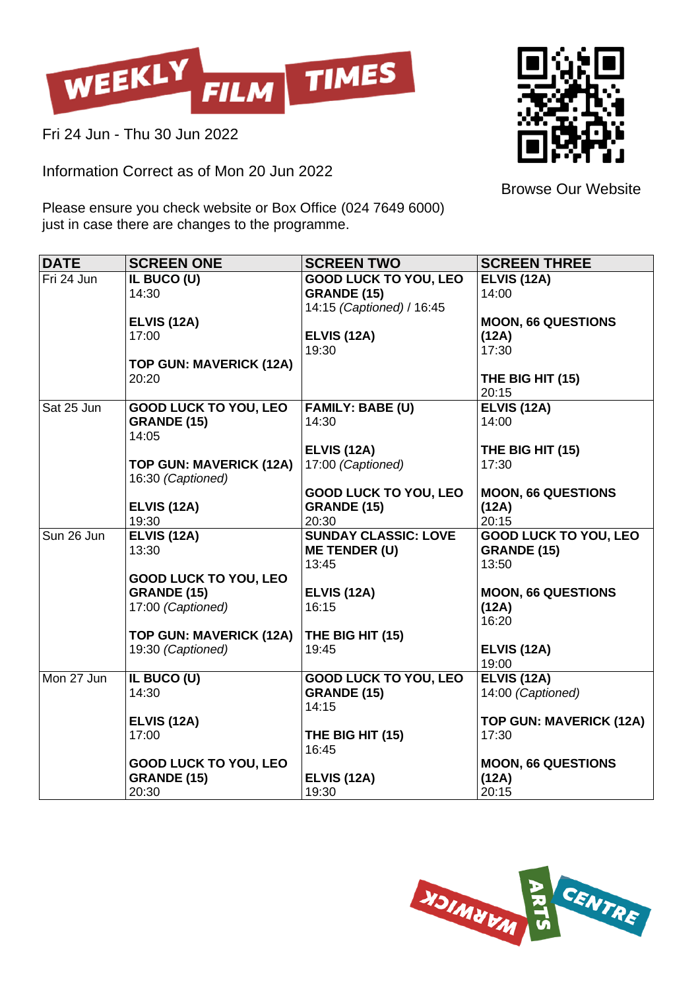

Fri 24 Jun - Thu 30 Jun 2022

Information Correct as of Mon 20 Jun 2022



Browse Our Website

Please ensure you check website or Box Office (024 7649 6000) just in case there are changes to the programme.

| <b>DATE</b> | <b>SCREEN ONE</b>                                  | <b>SCREEN TWO</b>            | <b>SCREEN THREE</b>            |
|-------------|----------------------------------------------------|------------------------------|--------------------------------|
| Fri 24 Jun  | IL BUCO (U)                                        | <b>GOOD LUCK TO YOU, LEO</b> | <b>ELVIS (12A)</b>             |
|             | 14:30                                              | <b>GRANDE (15)</b>           | 14:00                          |
|             |                                                    | 14:15 (Captioned) / 16:45    |                                |
|             | <b>ELVIS (12A)</b>                                 |                              | <b>MOON, 66 QUESTIONS</b>      |
|             | 17:00                                              | <b>ELVIS (12A)</b>           | (12A)                          |
|             |                                                    | 19:30                        | 17:30                          |
|             | <b>TOP GUN: MAVERICK (12A)</b><br>20:20            |                              |                                |
|             |                                                    |                              | THE BIG HIT (15)<br>20:15      |
| Sat 25 Jun  | <b>GOOD LUCK TO YOU, LEO</b>                       | <b>FAMILY: BABE (U)</b>      | <b>ELVIS (12A)</b>             |
|             | <b>GRANDE (15)</b>                                 | 14:30                        | 14:00                          |
|             | 14:05                                              |                              |                                |
|             |                                                    | <b>ELVIS (12A)</b>           | THE BIG HIT (15)               |
|             | <b>TOP GUN: MAVERICK (12A)</b>                     | 17:00 (Captioned)            | 17:30                          |
|             | 16:30 (Captioned)                                  |                              |                                |
|             |                                                    | <b>GOOD LUCK TO YOU, LEO</b> | <b>MOON, 66 QUESTIONS</b>      |
|             | <b>ELVIS (12A)</b>                                 | <b>GRANDE (15)</b>           | (12A)                          |
|             | 19:30                                              | 20:30                        | 20:15                          |
| Sun 26 Jun  | <b>ELVIS (12A)</b>                                 | <b>SUNDAY CLASSIC: LOVE</b>  | <b>GOOD LUCK TO YOU, LEO</b>   |
|             | 13:30                                              | <b>ME TENDER (U)</b>         | <b>GRANDE (15)</b>             |
|             |                                                    | 13:45                        | 13:50                          |
|             | <b>GOOD LUCK TO YOU, LEO</b><br><b>GRANDE (15)</b> | <b>ELVIS (12A)</b>           | <b>MOON, 66 QUESTIONS</b>      |
|             | 17:00 (Captioned)                                  | 16:15                        | (12A)                          |
|             |                                                    |                              | 16:20                          |
|             | TOP GUN: MAVERICK (12A)                            | THE BIG HIT (15)             |                                |
|             | 19:30 (Captioned)                                  | 19:45                        | <b>ELVIS (12A)</b>             |
|             |                                                    |                              | 19:00                          |
| Mon 27 Jun  | IL BUCO (U)                                        | <b>GOOD LUCK TO YOU, LEO</b> | <b>ELVIS (12A)</b>             |
|             | 14:30                                              | <b>GRANDE (15)</b>           | 14:00 (Captioned)              |
|             |                                                    | 14:15                        |                                |
|             | <b>ELVIS (12A)</b>                                 |                              | <b>TOP GUN: MAVERICK (12A)</b> |
|             | 17:00                                              | THE BIG HIT (15)             | 17:30                          |
|             |                                                    | 16:45                        |                                |
|             | <b>GOOD LUCK TO YOU, LEO</b>                       |                              | <b>MOON, 66 QUESTIONS</b>      |
|             | <b>GRANDE (15)</b><br>20:30                        | <b>ELVIS (12A)</b><br>19:30  | (12A)<br>20:15                 |
|             |                                                    |                              |                                |